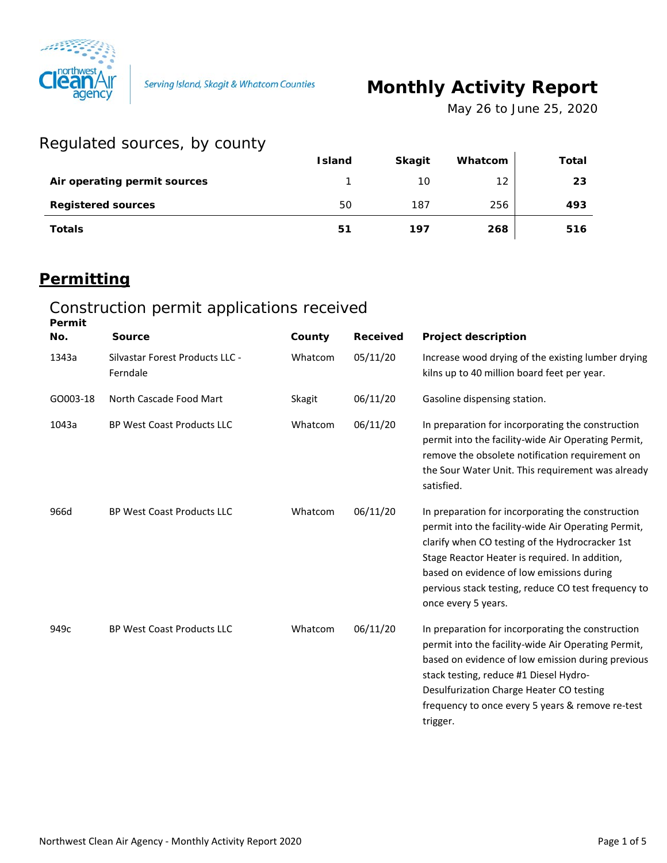

Serving Island, Skagit & Whatcom Counties

# **Monthly Activity Report**

*May 26 to June 25, 2020*

#### Regulated sources, by county

| $100 - 100 - 100 = 100$      |               |               |         |       |
|------------------------------|---------------|---------------|---------|-------|
|                              | <b>Island</b> | <b>Skagit</b> | Whatcom | Total |
| Air operating permit sources |               | 10            | 12      | 23    |
| <b>Registered sources</b>    | 50            | 187           | 256     | 493   |
| <b>Totals</b>                | 51            | 197           | 268     | 516   |

### **Permitting**

#### Construction permit applications received **Permit**

| No.      | <b>Source</b>                               | County  | <b>Received</b> | <b>Project description</b>                                                                                                                                                                                                                                                                                                               |
|----------|---------------------------------------------|---------|-----------------|------------------------------------------------------------------------------------------------------------------------------------------------------------------------------------------------------------------------------------------------------------------------------------------------------------------------------------------|
| 1343a    | Silvastar Forest Products LLC -<br>Ferndale | Whatcom | 05/11/20        | Increase wood drying of the existing lumber drying<br>kilns up to 40 million board feet per year.                                                                                                                                                                                                                                        |
| GO003-18 | North Cascade Food Mart                     | Skagit  | 06/11/20        | Gasoline dispensing station.                                                                                                                                                                                                                                                                                                             |
| 1043a    | <b>BP West Coast Products LLC</b>           | Whatcom | 06/11/20        | In preparation for incorporating the construction<br>permit into the facility-wide Air Operating Permit,<br>remove the obsolete notification requirement on<br>the Sour Water Unit. This requirement was already<br>satisfied.                                                                                                           |
| 966d     | <b>BP West Coast Products LLC</b>           | Whatcom | 06/11/20        | In preparation for incorporating the construction<br>permit into the facility-wide Air Operating Permit,<br>clarify when CO testing of the Hydrocracker 1st<br>Stage Reactor Heater is required. In addition,<br>based on evidence of low emissions during<br>pervious stack testing, reduce CO test frequency to<br>once every 5 years. |
| 949c     | <b>BP West Coast Products LLC</b>           | Whatcom | 06/11/20        | In preparation for incorporating the construction<br>permit into the facility-wide Air Operating Permit,<br>based on evidence of low emission during previous<br>stack testing, reduce #1 Diesel Hydro-<br>Desulfurization Charge Heater CO testing<br>frequency to once every 5 years & remove re-test<br>trigger.                      |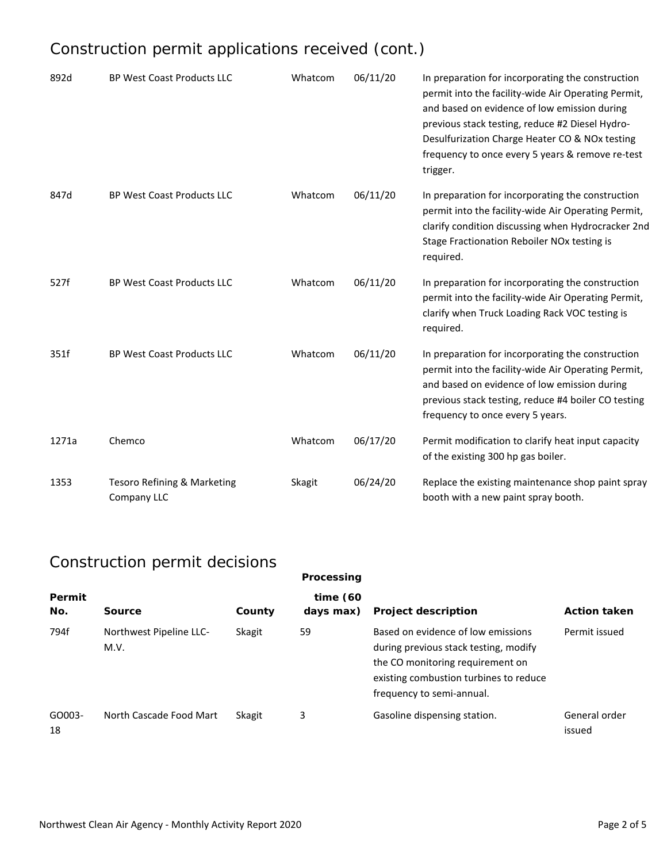## Construction permit applications received (cont.)

| 892d  | BP West Coast Products LLC                 | Whatcom | 06/11/20 | In preparation for incorporating the construction<br>permit into the facility-wide Air Operating Permit,<br>and based on evidence of low emission during<br>previous stack testing, reduce #2 Diesel Hydro-<br>Desulfurization Charge Heater CO & NOx testing<br>frequency to once every 5 years & remove re-test<br>trigger. |
|-------|--------------------------------------------|---------|----------|-------------------------------------------------------------------------------------------------------------------------------------------------------------------------------------------------------------------------------------------------------------------------------------------------------------------------------|
| 847d  | BP West Coast Products LLC                 | Whatcom | 06/11/20 | In preparation for incorporating the construction<br>permit into the facility-wide Air Operating Permit,<br>clarify condition discussing when Hydrocracker 2nd<br>Stage Fractionation Reboiler NOx testing is<br>required.                                                                                                    |
| 527f  | <b>BP West Coast Products LLC</b>          | Whatcom | 06/11/20 | In preparation for incorporating the construction<br>permit into the facility-wide Air Operating Permit,<br>clarify when Truck Loading Rack VOC testing is<br>required.                                                                                                                                                       |
| 351f  | BP West Coast Products LLC                 | Whatcom | 06/11/20 | In preparation for incorporating the construction<br>permit into the facility-wide Air Operating Permit,<br>and based on evidence of low emission during<br>previous stack testing, reduce #4 boiler CO testing<br>frequency to once every 5 years.                                                                           |
| 1271a | Chemco                                     | Whatcom | 06/17/20 | Permit modification to clarify heat input capacity<br>of the existing 300 hp gas boiler.                                                                                                                                                                                                                                      |
| 1353  | Tesoro Refining & Marketing<br>Company LLC | Skagit  | 06/24/20 | Replace the existing maintenance shop paint spray<br>booth with a new paint spray booth.                                                                                                                                                                                                                                      |

## Construction permit decisions

|               | $5011011$ abtion point abolition |        | Processing               |                                                                                                                                                                                        |                         |
|---------------|----------------------------------|--------|--------------------------|----------------------------------------------------------------------------------------------------------------------------------------------------------------------------------------|-------------------------|
| Permit<br>No. | Source                           | County | time $(60)$<br>days max) | <b>Project description</b>                                                                                                                                                             | <b>Action taken</b>     |
| 794f          | Northwest Pipeline LLC-<br>M.V.  | Skagit | 59                       | Based on evidence of low emissions<br>during previous stack testing, modify<br>the CO monitoring requirement on<br>existing combustion turbines to reduce<br>frequency to semi-annual. | Permit issued           |
| GO003-<br>18  | North Cascade Food Mart          | Skagit | 3                        | Gasoline dispensing station.                                                                                                                                                           | General order<br>issued |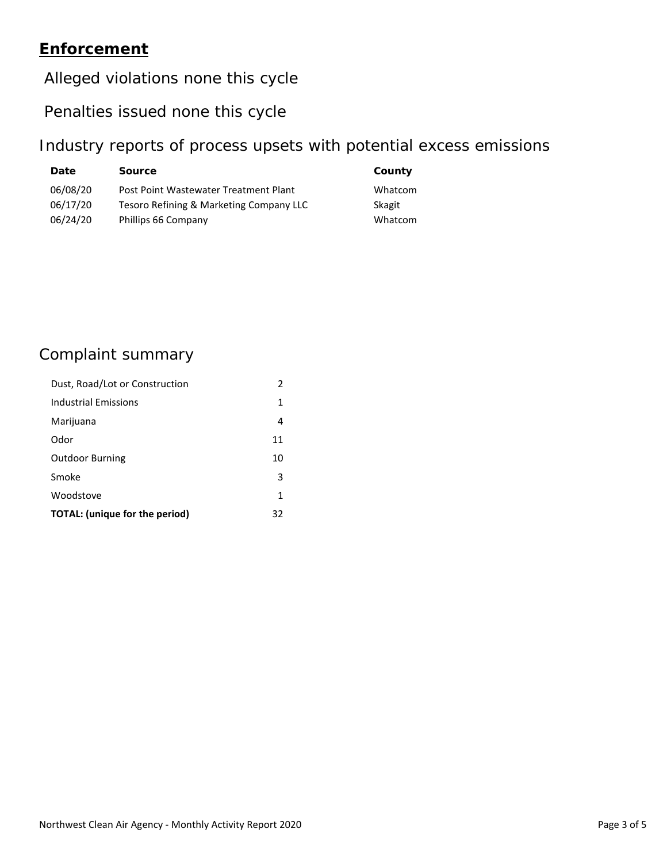#### **Enforcement**

#### Alleged violations none this cycle

#### Penalties issued none this cycle

#### Industry reports of process upsets with potential excess emissions

| <b>Date</b> | <b>Source</b>                           | County  |
|-------------|-----------------------------------------|---------|
| 06/08/20    | Post Point Wastewater Treatment Plant   | Whatcom |
| 06/17/20    | Tesoro Refining & Marketing Company LLC | Skagit  |
| 06/24/20    | Phillips 66 Company                     | Whatcom |

### Complaint summary

| Dust, Road/Lot or Construction | 2  |
|--------------------------------|----|
| Industrial Emissions           | 1  |
| Marijuana                      | 4  |
| Odor                           | 11 |
| <b>Outdoor Burning</b>         | 10 |
| Smoke                          | 3  |
| Woodstove                      | 1  |
| TOTAL: (unique for the period) | 32 |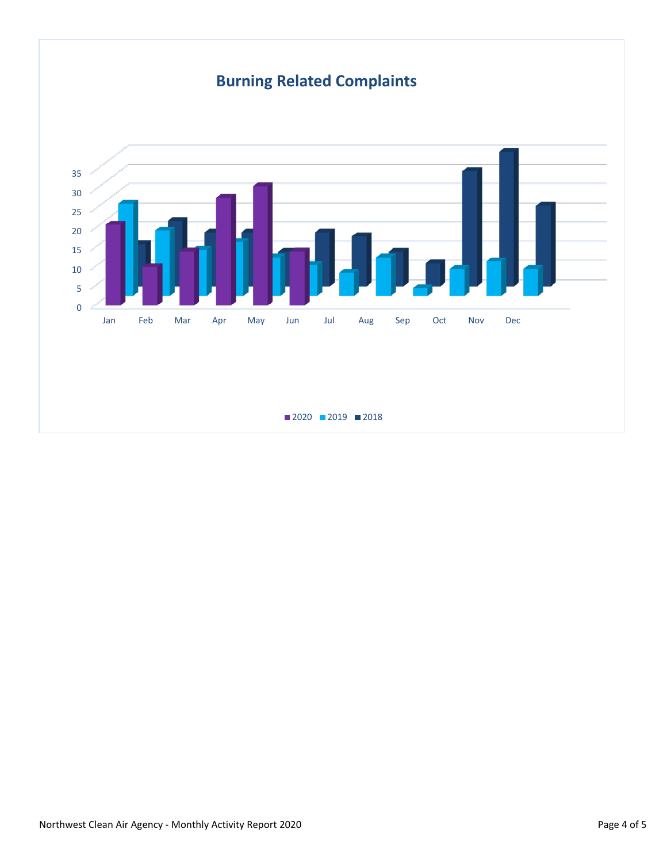